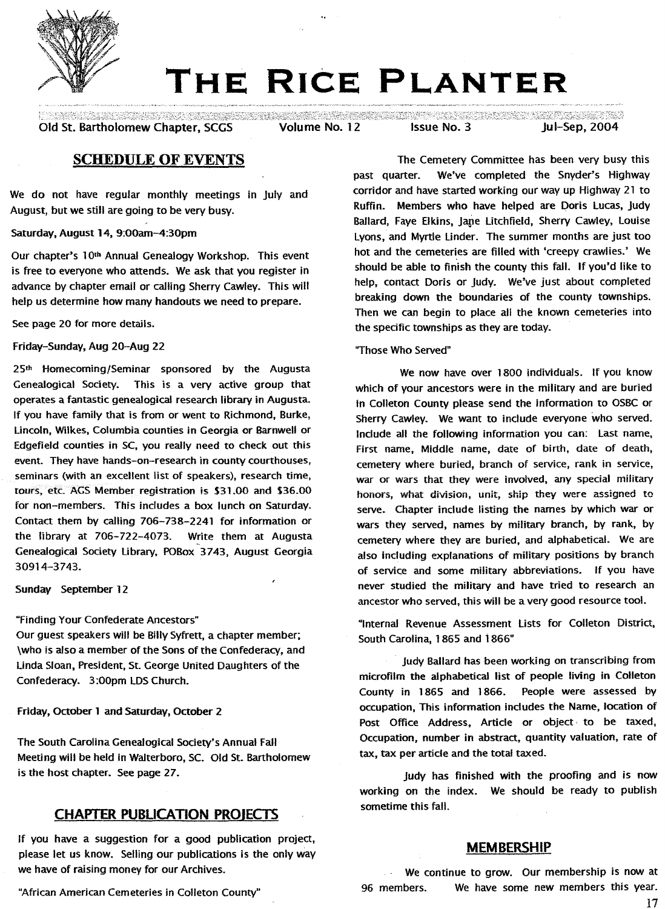

# **THE RICE PLANTER**

Old St. Bartholomew Chapter, SCGS Volume No. 12 Issue No. 3 Jul-Sep, 2004

了,我的是不是,我们也不会不会在这里的人们的人们就会不会在这里的人们,我们也不会在这里的人们,我们也不会在这里,我们也不会在这里的时候,我们也不会在这里的人们,我们也不会不会在这里的时候,我们也不会<br>"我们的人们也不会在这里的,我们也不会在这里,我们也不会在这里的人们,我们也不会不会不会不会不会。""我们,我们也不会不会不会不会。""你们,你们的人,我们也不会不会不会

# **SCHEDULE OF EVENTS**

We do not have regular monthly meetings in July and August, but we still aregoing to be very busy.

Saturday,August 14, 9:00am-4:30pm

Our chapter's 10<sup>th</sup> Annual Genealogy Workshop. This event is free to everyone who attends. We ask that you register in advance by chapter email or calling Sherry Cawley. This will help us determine how many handouts we need to prepare.

See page 20 for more details.

Friday-Sunday,Aug 20-Aug 22

25th Homecoming/Seminar sponsored by the Augusta Genealogical Society. This is a very active group that operates a fantastic genealogical research library in Augusta. If you have family that is from or went to Richmond, Burke, lincoln, Wilkes, Columbia counties in Georgia or Barnwell or Edgefield counties in SC, you really need to check out this event. They have hands-on-research in county courthouses, seminars (with an excellent list of speakers), research time, tours, etc. AGS Member registration is \$31.00 and \$36.00 for non-members. This includes a box lunch on Saturday. Contact them by calling 706-738-2241 for information or the library at 706-722-4073. Write them at Augusta Genealogical Society library, POBox 3743, August Georgia 30914-3743.

Sunday September 12

"Finding Your Confederate Ancestors"

Our guest speakers will be Billy Syfrett, a chapter member; \who is also a member of the Sons of the Confederacy, and Linda Sloan, President, St. George United Daughters of the Confederacy. 3:00pm LDSChurch.

Friday, October 1 and Saturday, October 2

The South Carolina Genealogical Society's Annual Fall Meeting will be held in Walterboro, SC. Old St. Bartholomew is the host chapter. Seepage 27.

# **CHAPTER PUBLICATION PROIECTS**

If you have a suggestion for a good publication project, please let us know. Selling our publications is the only way we have of raising money for our Archives.

"African American Cemeteries in Colleton County"

The Cemetery Committee has been very busy this past quarter. We've completed the Snyder's Highway corridor and have started working our way up Highway 21 to Ruffin. Members who have helped are Doris Lucas, Judy Ballard, Faye Elkins, Jane Litchfield, Sherry Cawley, Louise Lyons, and Myrtle Linder. The summer months are just too hot and the cemeteries are filled with 'creepy crawlies.' We should be able to finish the county this fall. If you'd like to help, contact Doris or Judy. We've just about completed breaking down the boundaries of the county townships. Then we can begin to place all the known cemeteries into the specific townships as they are today.

"Those Who Served"

We now have over 1800 individuals. If you know which of your ancestors were in the military and are buried in Colleton County please send the information to OSBC or Sherry Cawley. We want to include everyone who served. Include all the following information you can: Last name, First name, Middle name, date of birth, date of death, cemetery where buried, branch of service, rank in service, war or wars that they were involved, any special military honors, what division, unit, ship they were assigned to serve. Chapter include listing the names by which war or wars they served, names by military branch, by rank, by cemetery where they are buried, and alphabetical. We are also including explanations of military positions by branch of service and some military abbreviations. If you have never studied the military and have tried to research an ancestor who served, this will be a very good resource tool.

"Internal Revenue Assessment lists for Colleton District, South Carolina, 1865 and 1866"

Judy Ballard has been working on transcribing from microfilm the alphabetical list of people living in Colleton County in 1865 and 1866. People were assessed by occupation, This information includes the Name, location of Post Office Address, Article or object to be taxed, Occupation, number in abstract, quantity valuation, rate of tax, tax per article and the total taxed.

Judy has finished with the proofing and is now working on the index. We should be ready to publish sometime this fall.

### **MEMBERSHIP**

We continue to grow. Our membership is now at 96 members. We have some new members this year.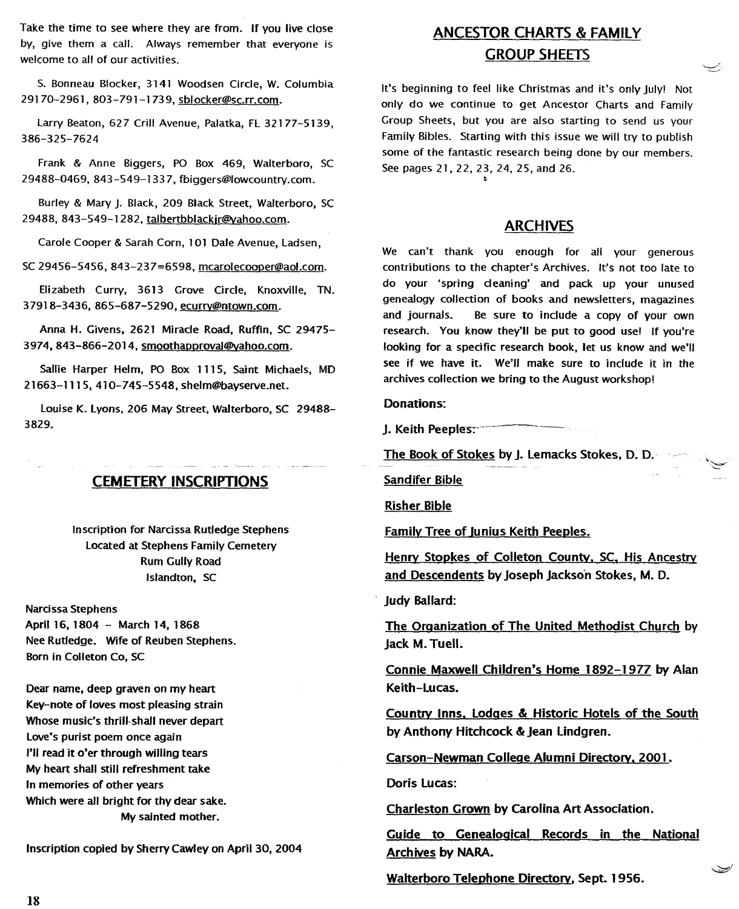Take the time to see where they are from. If you live close by, give them a call. Always remember that everyone is welcome to all of our activities.

S. Bonneau Blocker, 3141 Woodsen Circle, W. Columbia 29170-2961, 803-791-1739, sblocker@sc.rr.com.

Larry Beaton, 627 Crill Avenue, Palatka, FL 32177-5139, 386-325-7624

Frank & Anne Biggers, PO Box 469, Walterboro, SC 29488-0469, 843 -549-133 7, fbiggers@lowcountry.com.

Burley & Mary J. Black, 209 Black Street, Walterboro, SC 29488, 843-549-1282, talbertbblackir@yahoo.com.

Carole Cooper & Sarah Corn, 101 Dale Avenue, Ladsen,

SC 29456-5456,843-237=6598, mcarolecoooer@aol.com.

Elizabeth Curry, 3613 Grove Circle, Knoxville, TN. 37918-3436, 865-687-5290, ecurry@ntown.com.

Anna H. Givens, 2621 Miracle Road, Ruffin, SC 29475- 3974, 843-866-2014, smoothapproval@vahoo.com.

Sallie Harper Helm, PO Box 1115, Saint Michaels, MD 21663-1115,410-745-5548, shelm@hayserve.net.

Louise K. Lyons, 206 May Street, Walterboro, SC 29488- 3829.

# CEMETERY INSCRIPTIONS

Inscription for Nardssa Rutledge Stephens Located at Stephens Family Cemetery Rum Gully Road Islandton, SC

Narcissa Stephens April 16, 1804 - March 14, 1868 Nee Rutledge. Wife of Reuben Stephens. Born in Colleton Co, SC

Dear name, deep graven on my heart Key-note of loves most pleasing strain Whose music's thrill-shall never depart Love's purist poem once again I'll read it o'er through willing tears My heart shall still refreshment take In memories of other years Which were all bright for thy dear sake. My sainted mother.

Inscription copied by Sherry Cawley on April 30, 2004

# ANCESTOR CHARTS & FAMILY GROUP SHEETS

يمسيه

كفييك

It's beginning to feel like Christmas and it's only July! Not only do we continue to get Ancestor Charts and Family Group Sheets, but you are also starting to send us your Family Bibles. Starting with this issue we will try to publish some of the fantastic research being done by our members. See pages 21, 22, 23, 24, 25, and 26.

### ARCHIVES

We can't thank you enough for all your generous contributions to the chapter's Archives. It's not too late to do your 'spring cleaning' and pack up your unused genealogy collection of books and newsletters, magazines and journals. Be sure to include a copy of your own research. You know they'll be put to good use! If you're looking for a specific research book, let us know and we'll see if we have it. We'll make sure to include it in the archives collection we bring to the August workshop!

#### Donations:

J. Keith Peeples:

The Book of Stokes by J. lemacks Stokes, D.· D.

Sandifer Bible

Risher Bible

Family Tree of Junius Keith Peeples.

Henry Stopkes of Colleton County. SC. His Ancestrv and Descendents by Joseph Jackson Stokes, M. D.

Judy Ballard:

The Oraanization of The United Methodist Church by Jack M. Tuell.

Connie Maxwell Children's Home 1892-1977 by Alan Keith-lucas.

Country Inns. lodges & Historic Hotels of the South by Anthony Hitchcock & Jean lindgren.

Carson-Newman Colleae Alumni Directorv. 2001.

Doris lucas:

Charleston Grown by Carolina Art Association.

Guide to Genealogical Records in the National Archives by NARA.

Walterboro Telephone Directorv, Sept. 1956.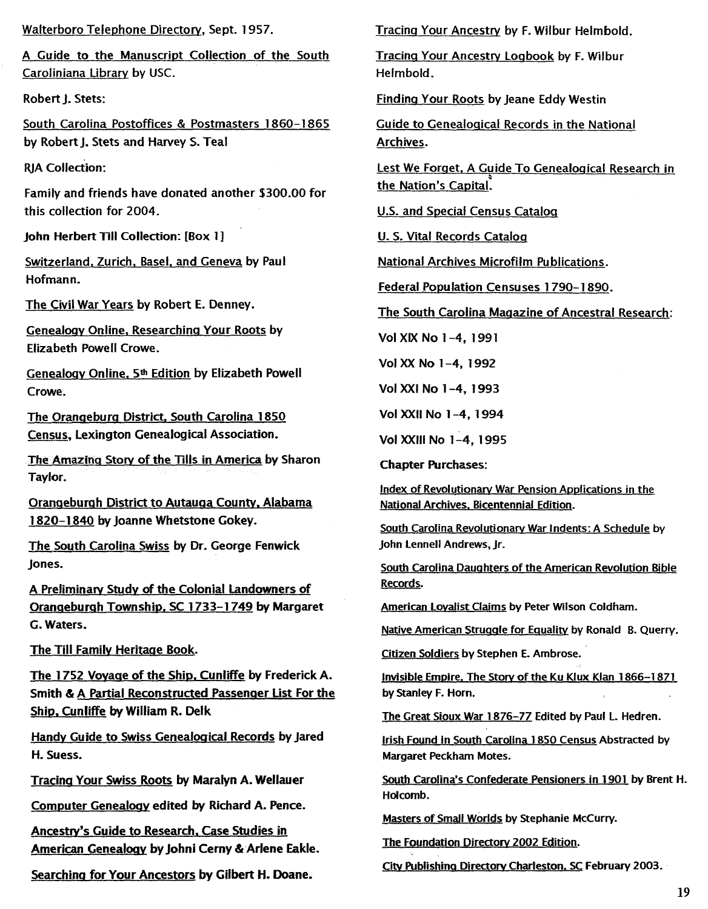Walterboro Telephone Directorv, Sept. 1957.

A Guide to the Manuscript Collection of the South Caroliniana Library by USC.

Robert J. Stets:

South Carolina Postoffices & Postmasters 1860-1865 by Robert J. Stets and Harvey S. Teal

**RIA Collection:** 

Family and friends have donated another \$300.00 for this collection for 2004.

Iohn Herbert Till Collection: [Box 1]

Switzerland, Zurich, Basel. and Geneva by Paul Hofmann.

The Civil War Years by Robert E. Denney.

Genealogy Online. Researching Your Roots by Elizabeth Powell Crowe.

Genealogy Online. 5th Edition by Elizabeth Powell Crowe.

The Oranaebura District. South Carolina 1850 Census, lexington Genealogical Association.

The Amazing Story of the Tills in America by Sharon Taylor.

Orangeburgh District to Autauga County, Alabama 1820-1840 by Joanne Whetstone Gokey.

The South Carolina Swiss by Dr. George Fenwick Jones.

A Preliminarv Study of the Colonial landowners of Oranaeburah Township. SC 1733-1749 by Margaret G. Waters.

The Till Familv Heritaae Book.

The 1752 Voyaae of the Ship. Cunliffe by Frederick A. Smith & A Partial Reconstructed Passenger List For the Ship. Cunliffe by William R. Delk

Handy Guide to Swiss Genealoaical Records by Jared H. Suess.

Tracina Your Swiss Roots by Maralyn A. Wellauer

Computer Genealogv edited by Richard A. Pence.

Ancestry's Guide to Research, Case Studies in American Genealoov by Johni Cerny & Arlene Eakle.

Searchina for Your Ancestors by Gilbert H. Doane.

Tracino Your Ancestrv by F. Wilbur Helmbold.

Tracino Your Ancestry logbook by F. Wilbur Helmbold.

Finding Your Roots by Jeane Eddy Westin

Guide to Genealooical Records in the National Archives.

Lest We Forget, A Guide To Genealogical Research in the Nation's Capital.

U.S. and Special Census Cataloa

U. S. Vital Records Cataloa

National Archives Microfilm Publications.

Federal Population Censuses 1790-1890.

The South Carolina Magazine of Ancestral Research:

Vol XIX No 1-4, 1991

Vol XX No 1-4, 1992

Vol XXI No 1-4, 1993

Vol XXII No 1-4, 1994

Vol XXIII No 1-4, 1995

Chapter Purchases:

Index of Revolutionary War Pension Applications in the National Archives, Bicentennial Edition.

South Carolina Revolutionary War Indents: A Schedule by John Lennell Andrews, Jr.

South Carolina Daughters of the American Revolution Bible Records.

American Lovalist Claims by Peter Wilson Coldham.

Native American Struggle for Equality by Ronald B. Querry.

Citizen Soldiers by Stephen E. Ambrose.

Invisible Empire. The Story of the Ku Klux Klan 1866-1871 by Stanley F. Horn.

The Great Sioux War 1876-77 Edited by Paul L. Hedren.

Irish Found in South Carolina 1850 Census Abstracted by Margaret Peckham Motes.

South Carolina's Confederate Pensioners in 1901 by Brent H. Holcomb.

Masters of Small Worlds by Stephanie McCurry.

The Foundation Directory 2002 Edition.

City Publishing Directory Charleston. SC February 2003.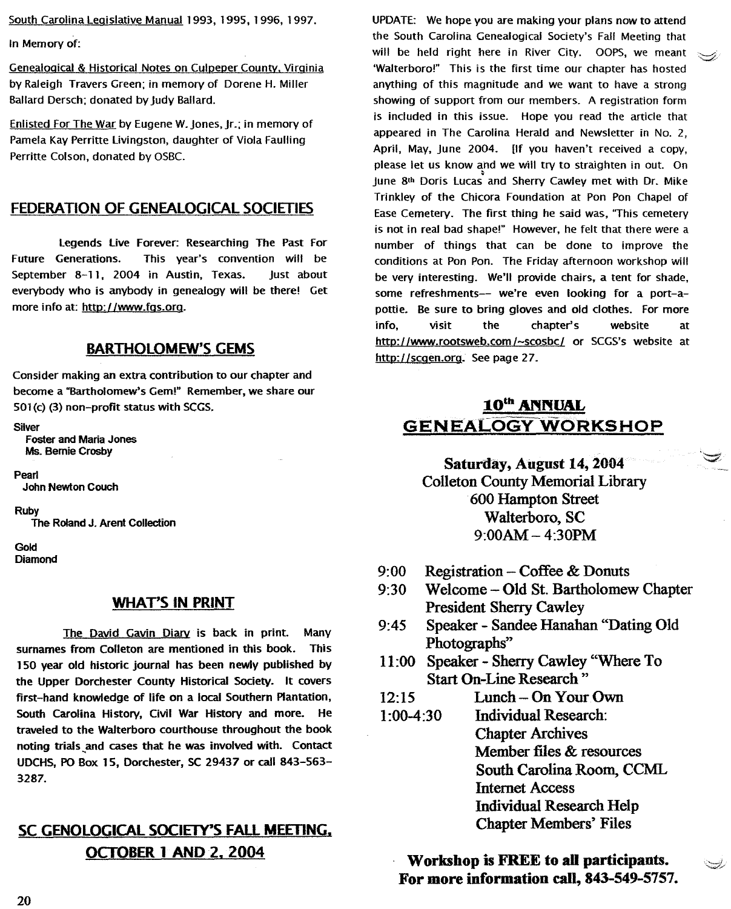South Carolina Legislative Manual 1993, 1995, 1996, 1997.

In Memoryof:

Genealoaical& Historical Notes on Culpeper County. Virainia by Raleigh Travers Green; in memory of Dorene H. Miller Ballard Dersch; donated by Judy Ballard.

Enlisted For The War by Eugene W. Jones, Jr.; in memory of Pamela Kay Perritte Livingston, daughter of Viola Faulling Perritte Colson, donated by OSBC.

# FEDERATION OF GENEALOGICAL SOCIETIES

Legends live Forever: Researching The Past For Future Generations. This year's convention will be September 8-11, 2004 in Austin, Texas. Just about everybody who is anybody in genealogy will be there! Get more info at: http://www.fqs.org.

# BARTHOLOMEW'S GEMS

Consider making an extra contribution to our chapter and become a "Bartholomew's Gem!" Remember, we share our 501(c) (3) non-profit status with SCGS.

Silver

Foster and Maria Jones Ms. Bernie Crosby

Pearl John Newton Couch

Ruby<br>The Roland J. Arent Collection

Gold **Diamond** 

### WHAT'S IN PRINT

The David Gavin Diary is back in print. Many surnames from Colleton are mentioned in this book. This 150 year old historic journal has been newly published by the Upper Dorchester County Historical Society. It covers first-hand knowledge of life on a local Southern Plantation, South Carolina History, Civil War History and more. He traveled to the Walterboro courthouse throughout the book noting trials~and cases that he was involved with. Contact UDCHS,POBox 15, Dorchester, SC29437 or call 843-563- 3287.

# SC GENOLOGICAL SOCIETY'S FAll MEETING. OCTOBER 1 AND 2. 2004

UPDATE: Wehope you are making your plans now to attend the South Carolina Genealogical Society's Fall Meeting that will be held right here in River City. OOPS, we meant 'Walterboro!" This is the first time our chapter has hosted anything of this magnitude and we want to have a strong showing of support from our members. A registration form is included in this issue. Hope you read the article that appeared in The Carolina Herald and Newsletter in No.2, April, May, June 2004. [If you haven't received a copy, please let us know and we will try to straighten in out. On June 8th Doris Lucas and Sherry Cawley met with Dr. Mike Trinkley of the Chicora Foundation at Pon Pon Chapel of Ease Cemetery. The first thing he said was, 'This cemetery is not in real bad shape!" However, he felt that there were a number of things that can be done to improve the conditions at Pon Pon. The Friday afternoon workshop will be very interesting. We'll provide chairs, a tent for shade, some refreshments-- we're even looking for a port-apottie. Be sure to bring gloves and old clothes. For more info, visit the chapter's website at http://www.rootsweb.com/~scosbc/ or SCGS's website at http://scgen.org. See page 27.

# 10<sup>th</sup> ANNUAL **GENEALOGY WORKSHOP**

Saturday, August 14, 2004 Colleton County Memorial Library 600 Hampton Street Walterboro, SC  $9:00AM - 4:30PM$ 

- Registration  $-$  Coffee & Donuts 9:00
- Welcome Old St. Bartholomew Chapter President Sherry Cawley 9:30
- Speaker Sandee Hanahan "Dating Old Photographs" 9:45
- 11:00 Speaker Sherry Cawley "Where To Start On-Line Research"
- Lunch On Your Own 12:15
- Individual Research: Chapter Archives Member files & resources South Carolina Room, CCML Internet Access Individual Research Help Chapter Members' Files 1:00-4:30

# Workshop is FREE to all participants. For more information call, 843-549-5757.

رايسن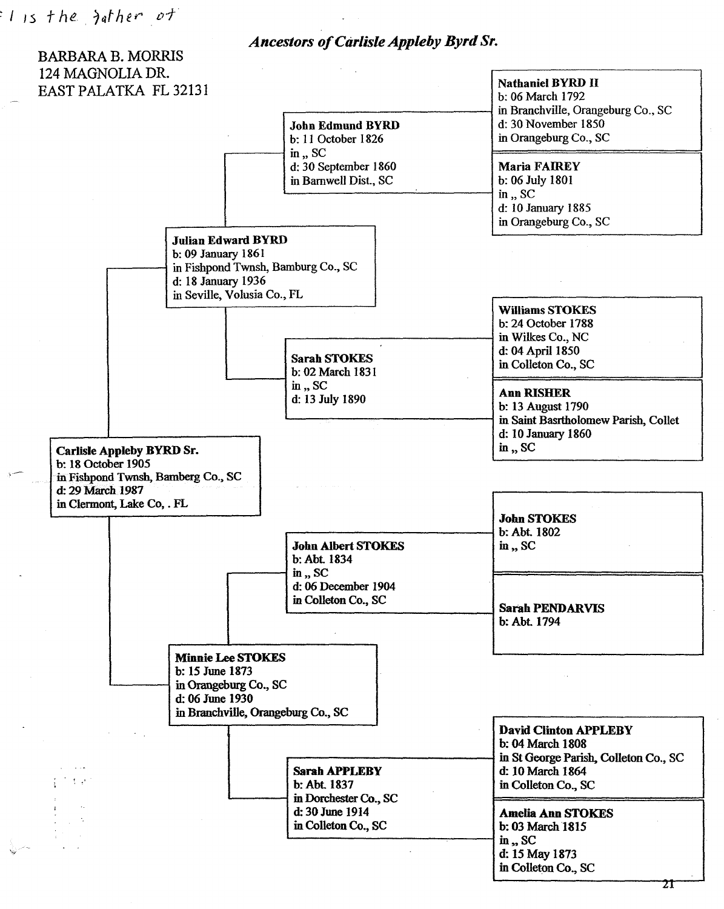*Ancestors of Carlisle Appleby Byrd Sr.*

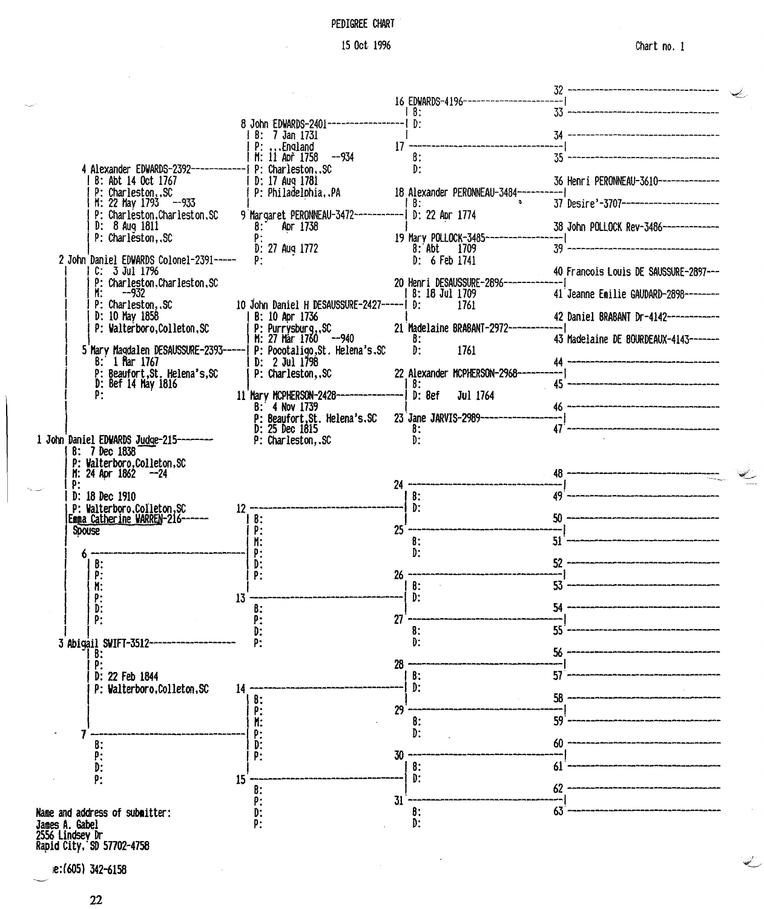# PEDIGREE CHART

 $\mathbb{Z}$ 

|                                                         |                                                             |                                              | 32 ----------------------------------- |  |
|---------------------------------------------------------|-------------------------------------------------------------|----------------------------------------------|----------------------------------------|--|
|                                                         |                                                             | 16 EDWARDS-4196-------------------<br>l 8:   | 33 ---------------------------------   |  |
|                                                         | 8 John EDWARDS-2401---------------------   D:               |                                              | 34 -------------------------------     |  |
|                                                         | B: 7 Jan 1731<br>P: England                                 | 17 --------------------------------          |                                        |  |
| 4 Alexander EDWARDS-2392--------------  P: CharlestonSC | M: 11 Apr 1758<br>--934                                     | $\mathbf{B}$ :<br>D:                         |                                        |  |
| B: Abt 14 Oct 1767                                      | D: 17 Aug 1781                                              |                                              | 36 Henri PERONNEAU-3610--------------  |  |
| P: CharlestonSC<br>$M: 22$ May $1793 - 933$             | P: PhiladelphiaPA                                           | 18 Alexander PERONNEAU-3484-<br>  B:         | 37 Desire'-3707----------------------- |  |
| P: Charleston.Charleston.SC<br>D: 8 Aug 1811            | 9 Margaret PERONNEAU-3472-----------  D: 22 Apr 1774        |                                              |                                        |  |
| P: Charleston, SC                                       | 8: Apr 1738                                                 | 19 Mary POLLOCK-3485-------                  | 38 John POLLOCK Rev-3486-------------  |  |
| 2 John Daniel EDWARDS Colonel-2391-----                 | D: 27 Aug 1772<br>P:                                        | $8:$ Abt 1709<br>D: 6 Feb 1741               | $39 -$                                 |  |
| $C: 3$ Jul 17%                                          |                                                             |                                              | 40 Francois Louis DE SAUSSURE-2897---  |  |
| P: Charleston, Charleston, SC<br>$M: -932$              |                                                             | 20 Henri DESAUSSURE-2896--<br>8: 18 Jul 1709 | 41 Jeanne Emilie GAUDARD-2898--------  |  |
| P: Charleston, SC<br>D: 10 May 1858                     | 10 John Daniel H DESAUSSURE-2427-----  D:<br>B: 10 Apr 1736 | 1761                                         |                                        |  |
| P: Walterboro, Colleton, SC                             | P: Purrysburg, SC<br>M: 27 Mar 1760 --940                   | 21 Madelaine BRABANT-2972--                  | 42 Daniel BRABANT Dr-4142------------  |  |
| 5 Mary Magdalen DESAUSSURE-2393-----                    | P: Pocotaligo, St. Helena's. SC                             | B:<br>D:<br>1761                             | 43 Madelaine DE BOURDEAUX-4143------   |  |
| 8: 1 Mar 1767                                           | $D: 2$ Jul $1798$                                           |                                              | 44 --------------------------------    |  |
| P: Beaufort, St. Helena's, SC<br>D: Bef 14 May 1816     | P: Charleston, SC                                           | 22 Alexander MCPHERSON-2968-<br>-B:          | 45 --------------------------------    |  |
| P:                                                      | 11 Mary MCPHERSON-2428-<br>B: 4 Nov 1739                    | D: Bef<br>Jul 1764                           | 46 -------------------------------     |  |
|                                                         | P: Beaufort, St. Helena's, SC                               | 23 Jane JARVIS-2989---                       |                                        |  |
| 1 John Daniel EDWARDS Judge-215-------                  | D: 25 Dec 1815<br>P: Charleston, .SC                        | 8:<br>D:                                     | 47'--------------------------------    |  |
| 8: 7 Dec 1838                                           |                                                             |                                              |                                        |  |
| P: Walterboro, Colleton, SC<br>$M: 24$ Apr $1862 -24$   |                                                             |                                              | 48 -------------------------------     |  |
| P:<br>D: 18 Dec 1910                                    |                                                             | $24 -$<br>B:                                 | 49 -------------------------------     |  |
| P: Walterboro.Colleton.SC                               | $12 -$                                                      | D:                                           |                                        |  |
| Emma Catherine WARREN-216-----<br><b>Spouse</b>         | 8:<br>P:                                                    | $25^{\degree}$                               | 50 -----------------------------       |  |
|                                                         | ₩.                                                          | 8:                                           | $51 -$                                 |  |
| 8:                                                      | P:<br>D.                                                    | D:                                           | 52 ----------------------------        |  |
| P:<br>Ħ.                                                | P:                                                          | 26.<br>$\sim$<br>8:                          | $53 -$                                 |  |
| P:                                                      | 13                                                          | D:                                           |                                        |  |
| D:<br>P:                                                | 8:<br>P:                                                    | 27                                           | 54 -----------------------------       |  |
|                                                         | D:                                                          | 8:<br>D:                                     | $55 -$                                 |  |
| 3 Abigail SWIFT-3512-<br>B:                             | P:                                                          |                                              |                                        |  |
| p:<br>D: 22 Feb 1844                                    |                                                             | 28<br>₿:                                     | 57                                     |  |
| P: Walterboro, Colleton, SC                             | 14                                                          | D:                                           |                                        |  |
|                                                         | 8:<br>Ρ.                                                    | 29                                           | 58                                     |  |
|                                                         | H:                                                          | 8:                                           | 59                                     |  |
| B:                                                      | Đ٠<br>D:                                                    | D:                                           | 60                                     |  |
| P.<br>D:                                                | ₽:                                                          | 30<br>8:                                     | 61                                     |  |
| p:                                                      | 15                                                          | D:                                           |                                        |  |
|                                                         | 8:<br>P:                                                    | 31                                           | 62                                     |  |
| Name and address of submitter:                          | D.                                                          | ₿:                                           | 63                                     |  |
| James A. Gabel<br>2556 Lindsey Dr                       | p:                                                          | D:                                           |                                        |  |
| Rapid City, SD 57702-4758                               |                                                             |                                              |                                        |  |

 $\ddot{\phantom{1}}$ 

Ie:(605) 342-6158

22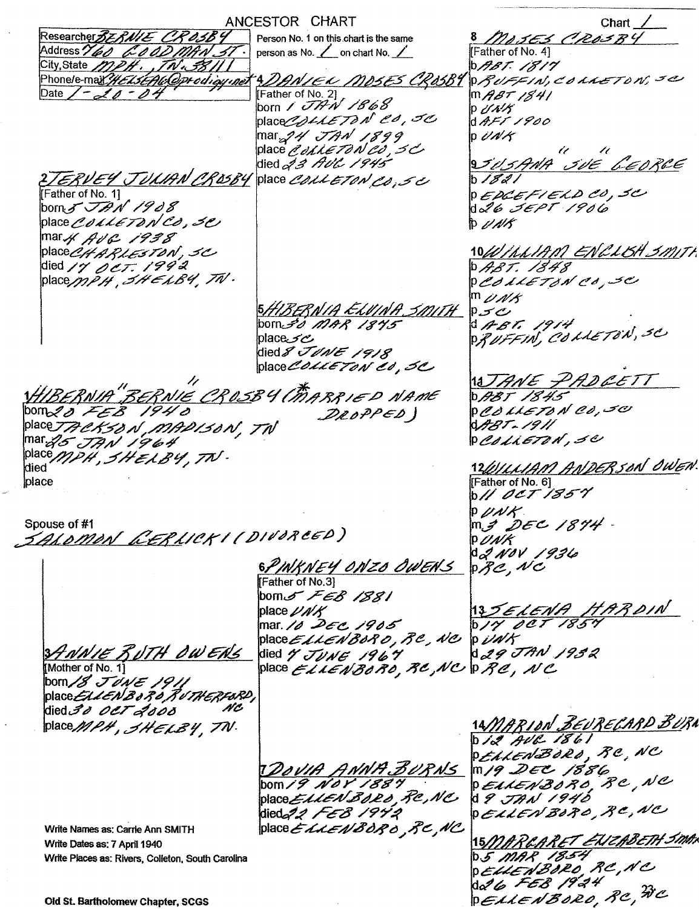--- ...----.,---~\_.~----------.\_------ ANCESTOR CHART Chart  $\angle$ Researcher BEBNIE CROSBY Person No. 1 on this chart is the same<br>person as No. <u>Loun</u> on chart No. *8 ~~/:rE'3 r?'".A2.t?d2?C/* Address 160 GOODMAN ST. Father of No. 4] City, State MPH., TN.38111  $b$ *ABT. 1817*  $P$ *RUFFIN, COLLETON, SC 4.DAN/EL-MD5E5-CR05BY*<br>|Father of No. 2] Date  $7 - 20 - 04$ *m ABT 1841*<br>p *UNK* prayer of No. 21<br>born / *JTAN 1868* place*@ollETON CO,5C*  $d$ AFT 1900  $|\text{mar}_{\text{m2}}$ 94' TAN 1899  $p$   $\partial$  N/ $\kappa$ place *é olive 70 N 20, 50* /1' /r *9../'h"#A{? c..?p6 ~6't!l/f~G"* <sup>b</sup> */FR/* died*&3 HUC 1945*,  $E RVEYJUUH NCR05B4$  place COLLETON CO, SC Father of No.1] <sup>P</sup> *E,;!>&:.!E"c:/ E.;C"t) t!!td*/ ...:f"C/  $\mathop{\rm\,Dom}\nolimits_{\mathscr{F}}$   $\mathcal{J}\mathcal{P}\mathcal{N}$  1908 of'6 *dE.P r* /P*t1*C? place COLLETON CO, 30  $D$   $U$ *N*/ $S$  $max$   $AUC$  1938 10*W | I.I. 1910 EN 2 L 18H 3 M IT*  $[place\mathcal{CHARLESTON}]$ , SC died *17 oct:* 1992 0 ABT. 1848  $[place/ppPH, THELB4, TN].$ <sup>P</sup>~&7 .£LErd # C!'d" *...::5e:/ mp#A'* i5#/",ff'{iif;P/.4 E.,{//#~ iborVd /.?/4-,..f /J''Yf" p...;::1"'& . ABT. 1914<br>PUTTU ALLETRA 'plac6c.7' 6 *P;f* UFFIN, come /on, -~ died 8 JUNE 1918 place COLLETON CO, 3C // 1<u>8JANE PADLETT</u><br>D*ABT 1845* ~J'fi'f/d#.Jf"f /E.£J *A/.4-/I?E* W\$ELfAl\$ *,;5ELfA//6* Ip c?d ,,£.".LE/;1AI' *del"* ~<:V bo~ ~ *"..z:-C'.6* /9-9'd DROPPED) *~.T:./j?//* place*TRCKS8 N , MADIS8N , TW*  $PcdilETdN, SCD$ *mar<sub>o</sub>g JAN 1964* place *MPH*, SHELBY, TN. 12/01/11AM ANDERSON OWEN place [Father of No. 6]  $b$ II OCT 1857  $P$   $\mu$ NK  $m<sub>S</sub>$  DEC 1874 Spouse of #1 *\_\_~-4'L~\$R/J/*£~ *L/t!A'* / /' ~/P.eJ.;f *~Er,t))* PUNK  $d_{2}$  NOV 1936 *6~/I11~/YE¥*tJ/JI'z~*dpl~A"s*  $p\mathcal{Z}e$ , NC Father of No.3] Ibom..r *,/cc:,6>* /\$3/ 13 SELENA HARDIN place  $\nu$ *n*/ $K$ mar.*10 DEC 1905*<br>place*ELLEN BOR 0 , RC , NC* b/Y OCT 1857 TH OWERS died  $\gamma$  JUNE 1967<br>place ELLENBORO, RC, NC PRC, NC Mother of No. 11 N C died 30 0CT 2000 14*MARION BEURECARD BUR*A place MPH, SHELBY, TN.  $D/Z$  AVR 1861 DELLENBORD, RC, NC 1*DOVIA ANNA BURNS*<br>DOM*I 9 NOV 1889* m /9 DEC 1886 DEALENBORO, RC, NC place EllENBORD, RC, NC  $d$  I  $J$ AN 1940 DELLENBORO, RC, NC died 22 FEB 1942 place ELLENBORO RC, NC Write Names as: Carrie Ann SMITH 15 MARCARET EUZABETH SMAN Write Dates as: 7 April 1940 **D.S. MAR 1854** Write Places as: Rivers, Colleton. South Carolina DELLENBORO, RC, NC da 6 FEB 1924 PELLENBORO, RC, NC

Old St. Bartholomew Chapter, SCGS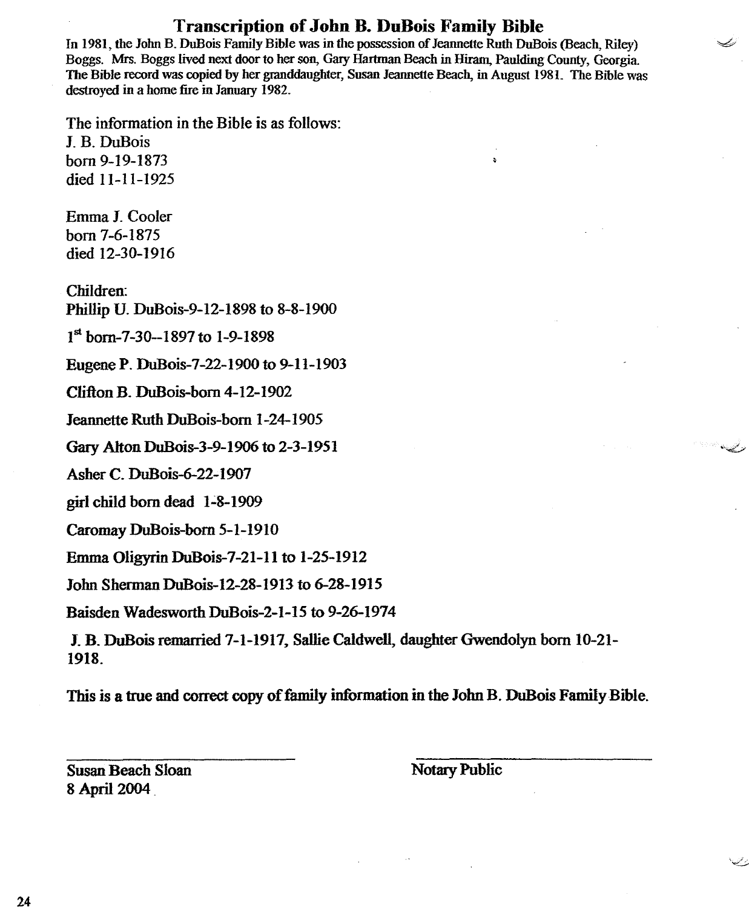# Transcription of John B. DuBois Family Bible

In 1981, the John B. DuBois Family Bible was in the possession of Jeannette Ruth DuBois (Beach, Riley) Boggs. Mrs. Boggs lived next door to her son, Gary Hartman Beach in Hiram, Paulding County, Georgia The Bible record was copied by her granddaughter, Susan Jeannette Beach, in August 1981. The Bible was destroyed in a home fire in January 1982.

 $\mathbf{A}$ 

فسيكتب

The information in the Bible is as follows: J. B. DuBois born 9-19-1873 died 11-11-1925

Emma J. Cooler born 7-6-1875 died 12-30-1916

Children: Phillip U. DuBois-9-12-1898 to 8-8-1900

1st born-7-30--1897 to 1-9-1898

Eugene P. DuBois-7-22-1900 to 9-11-1903

Clifton B. DuBois-born 4-12-1902

Jeannette Ruth DuBois-born 1-24-1905

Gary Alton DuBois-3-9-1906 to 2-3-1951

Asher C. DuBois-6-22- I907

girl child born dead 1-8-1909

Caromay DuBois-born 5-1-1910

Emma Oligyrin DuBois-7-21-11 to 1-25-1912

John Sherman DuBois-12-28-1913 to 6-28-1915

Baisden Wadesworth DuBois-2- I-15 to 9-26-1974

J. B. DuBois remarried 7-1-1917, Sallie Caldwell, daughter Gwendolyn born 10-21- 1918.

This is a true and correct copy of family information in the John B. DuBois Family Bible.

Susan Beach Sloan 8 April 2004 .

Notary Public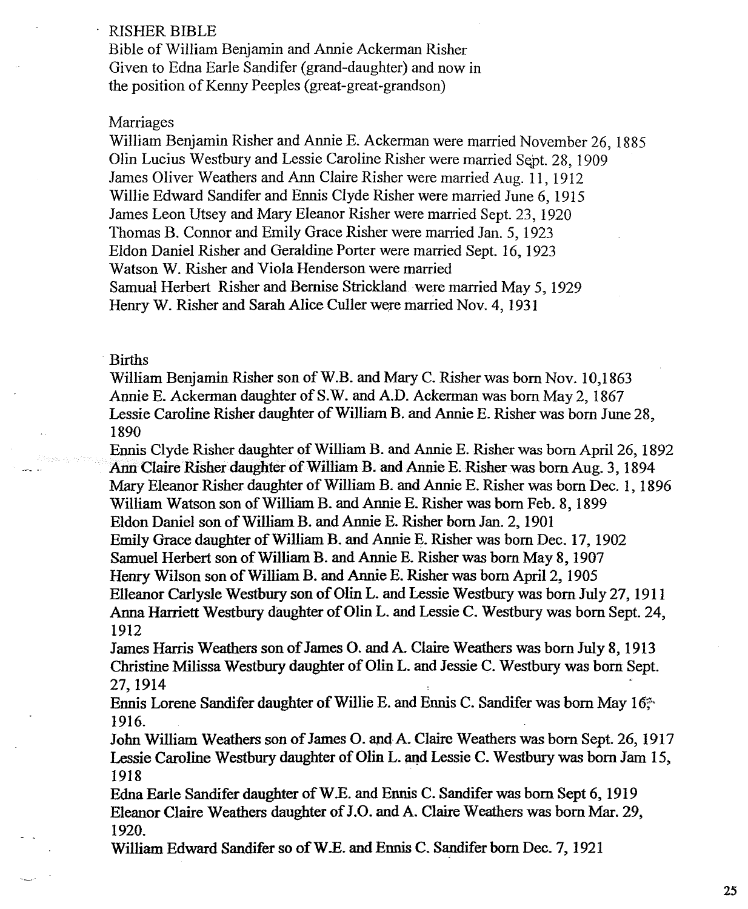### RISHER BIBLE

Bible of William Benjamin and Annie Ackerman Risher Given to Edna Earle Sandifer (grand-daughter) and now in the position of Kenny Peeples (great-great-grandson)

### Marriages

William Benjamin Risher and Annie E. Ackerman were married November 26, 1885 Olin Lucius Westbury and Lessie Caroline Risher were married Sept. 28, 1909 James Oliver Weathers and Ann Claire Risher were married Aug. 11, 1912 Willie Edward Sandifer and Ennis Clyde Risher were married June 6, 1915 James Leon Utsey and Mary Eleanor Risher were married Sept. 23, 1920 Thomas B. Connor and Emily Grace Risher were married Jan. 5, 1923 Eldon Darnel Risher and Geraldine Porter were married Sept. 16, 1923 Watson W. Risher and Viola Henderson were married Samual Herbert Risher and Bernise Strickland were married May 5,1929 Henry W. Risher and Sarah Alice Culler were married Nov. 4, 1931

## Births

William Benjamin Risher son of W.B. and Mary C. Risher was born Nov. 10,1863 Annie E. Ackerman daughter of S.W. and A.D. Ackerman was born May 2, 1867 Lessie Caroline Risher daughter of William B. and Annie E. Risher was born June 28, 1890

Ennis Clyde Risher daughter of William B. and Annie E. Risher was born April 26, 1892 Ann Claire Risher daughter of William B. and Annie E. Risher was born Aug. 3, 1894 Mary Eleanor Risher daughter of William B. and Annie E. Risher was born Dec. I, 1896 William Watson son of William B. and Annie E. Risher was born Feb. 8, 1899 Eldon Daniel son of William B. and Annie E. Risher born Jan. 2, 1901 Emily Grace daughter of William B. and Annie E. Risher was born Dec. 17, 1902 Samuel Herbert son of William B. and Annie E. Risher was born May 8,1907 Henry Wilson son of William B. and Annie E. Risher was born April 2, 1905 Elleanor Carlysle Westbury son of Olin L. and Lessie Westbury was born Jilly 27, 1911 Anna Harriett Westbury daughter of Olin L. and Lessie C. Westbury was born Sept. 24, 1912

James Harris Weathers son of James O. and A. Claire Weathers was born Jilly 8, 1913 Christine Milissa Westbury daughter of Olin L. and Jessie C. Westbury was born Sept. 27,1914

Ennis Lorene Sandifer daughter of Willie E. and Ennis C. Sandifer was born May 16<sup>\*</sup> 1916.

John William Weathers son of James O. and-A. Claire Weathers was born Sept. 26, 1917 Lessie Caroline Westbury daughter of Olin L. and Lessie C. Westbury was born Jam 15, 1918

Edna Earle Sandifer daughter ofW.E. and Ennis C. Sandifer was born Sept 6, 1919 Eleanor Claire Weathers daughter ofJ.O. and A. Claire Weathers was born Mar. 29, 1920.

William Edward Sandifer so of W.E. and Ennis C. Sandifer born Dec. 7, 1921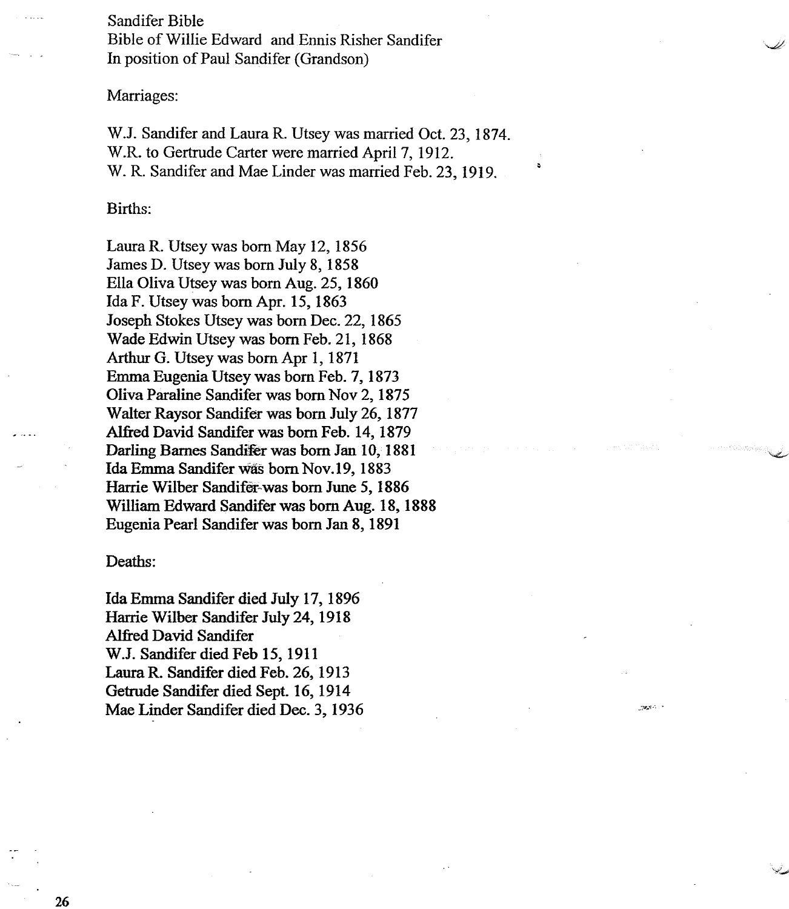Sandifer Bible Bible of Willie Edward and Ennis Risher Sandifer In position of Paul Sandifer (Grandson)

Marriages:

W.J. Sandifer and Laura R. Utsey was married Oct. 23, 1874. W.R. to Gertrude Carter were married April 7, 1912. W. R. Sandifer and Mae Linder was married Feb. 23, 1919.

# Births:

Laura R. Utsey was born May 12, 1856 James D. Utsey was born July 8, 1858 Ella Oliva Utsey was born Aug. 25, 1860 Ida F. Utsey was born Apr. 15, 1863 Joseph Stokes Utsey was born Dec. 22, 1865 Wade Edwin Utsey was born Feb. 21, 1868 Arthur G. Utsey was born Apr 1, 1871 Emma Eugenia Utsey was born Feb. 7, 1873 Oliva Paraline Sandifer was born Nov 2, 1875 Walter Raysor Sandifer was born July 26,1877 Alfred David Sandifer was born Feb. 14, 1879 Darling Barnes Sandifer was born Jan 10, 1881 Ida Emma Sandifer was born Nov.19, 1883 Harrie Wilber Sandifet~was born June 5, 1886 William Edward Sandifer was born Aug. 18, 1888 Eugenia Pearl Sandifer was born Jan 8, 1891

### Deaths:

Ida Emma Sandifer died July 17, 1896 Harrie Wilber Sandifer July 24, 1918 Alfred David Sandifer W.J. Sandifer died Feb 15, 1911 Laura R. Sandifer died Feb. 26, 1913 Getrude Sandifer died Sept. 16, 1914 Mae Linder Sandifer died Dec. 3, 1936 .:."1',."10"0

26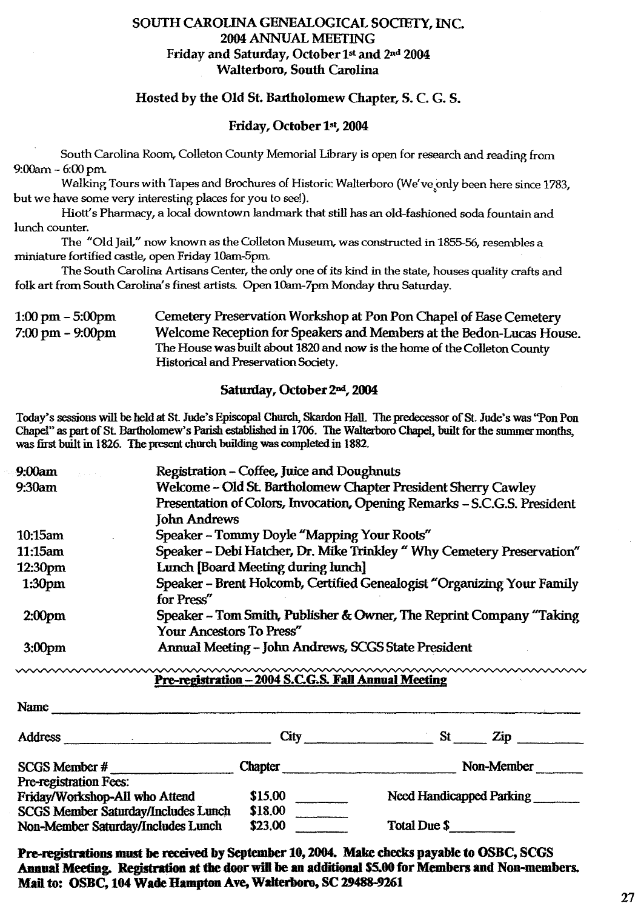# SOUTH CAROLINA GENEALOGICAL SOCIETY, INC. 2004 ANNUAL MEETING Friday and Saturday, October 1st and 2nd 2004 Walterboro, South Carolina

## Hosted by the Old St. Bartholomew Chapter, S. C. G. S.

### Friday, October 1st, 2004

South Carolina Room, Colleton County Memorial Library is open for research and reading from 9:00am - 6:00 pm.

Walking Tours with Tapes and Brochures of Historic Walterboro (We've only been here since 1783, but we have some very interesting places for you to see!).

Hiott's Pharmacy, a local downtown landmark that still has an old-fashioned soda fountain and lunch counter.

The "Old Jail," now known as the Colleton Museum, was constructed in 1855-56, resembles a miniature fortified castle, open Friday lOam-Spm

The South Carolina Artisans Center, the only one of its kind in the state, houses quality crafts and folk art from South Carolina's finest artists. Open lOam-7pm Monday thru Saturday.

#### 1:00 pm - 5:00pm 7:00 pm - 9:00pm Cemetery Preservation Workshop at Pon Pon Chapel of Ease Cemetery Welcome Reception for Speakers and Members at the Bedon-Lucas House. The House was built about 1820 and now is the horne of the Colleton County Historical and Preservation Society.

### Saturday, October 2nd, 2004

Today's sessions will be held at St Jude's Episcopal Church, Skardon Hall. The predecessor of St. Jude's was "Pon Pon Chapel" as part of St. Bartholomew's Parish established in 1706. The Walterboro Chapel, built for the summer months, was first built in 1826. The present church building was completed in 1882.

| 9:00am             | Registration - Coffee, Juice and Doughnuts<br><b>Contractor</b>          |
|--------------------|--------------------------------------------------------------------------|
| 9:30am             | Welcome - Old St. Bartholomew Chapter President Sherry Cawley            |
|                    | Presentation of Colors, Invocation, Opening Remarks - S.C.G.S. President |
|                    | <b>John Andrews</b>                                                      |
| 10:15am            | Speaker - Tommy Doyle "Mapping Your Roots"                               |
| 11:15am            | Speaker - Debi Hatcher, Dr. Mike Trinkley " Why Cemetery Preservation"   |
| 12:30pm            | Lunch [Board Meeting during lunch]                                       |
| 1:30 <sub>pm</sub> | Speaker - Brent Holcomb, Certified Genealogist "Organizing Your Family   |
|                    | for Press"                                                               |
| 2:00 <sub>pm</sub> | Speaker – Tom Smith, Publisher & Owner, The Reprint Company "Taking"     |
|                    | Your Ancestors To Press"                                                 |
| 3:00 <sub>pm</sub> | Annual Meeting - John Andrews, SCGS State President                      |

### Pre-registration - 2004 S.C.G.S. Fall Annual Meeting

| Name                                       |                |                          |
|--------------------------------------------|----------------|--------------------------|
| <b>Address</b>                             | City           | St<br>Zip                |
| SCGS Member #                              | <b>Chapter</b> | Non-Member               |
| Pre-registration Fees:                     |                |                          |
| Friday/Workshop-All who Attend             | \$15.00        | Need Handicapped Parking |
| <b>SCGS Member Saturday/Includes Lunch</b> | \$18.00        |                          |
| Non-Member Saturday/Includes Lunch         | \$23,00        | Total Due \$             |

Pre-registrations must be received by September 10, 2004. Make checks payable to OSBC, SCGS Annual Meeting. Registration at the door will be an additional \$5.00 for Members and Non-members. Mail to: OSBC, 104 Wade Hampton Ave, Walterboro, SC 29488-9261